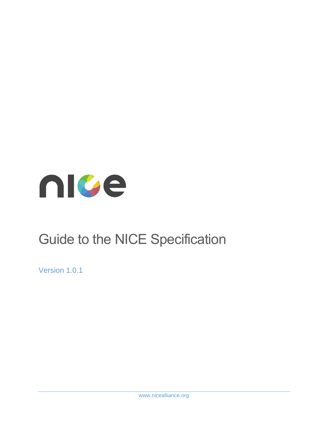

# Guide to the NICE Specification

Version 1.0.1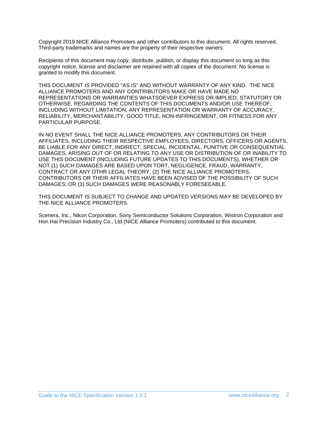Copyright 2019 NICE Alliance Promoters and other contributors to this document. All rights reserved. Third-party trademarks and names are the property of their respective owners.

Recipients of this document may copy, distribute, publish, or display this document so long as this copyright notice, license and disclaimer are retained with all copies of the document. No license is granted to modify this document.

THIS DOCUMENT IS PROVIDED "AS IS" AND WITHOUT WARRANTY OF ANY KIND. THE NICE ALLIANCE PROMOTERS AND ANY CONTRIBUTORS MAKE OR HAVE MADE NO REPRESENTATIONS OR WARRANTIES WHATSOEVER EXPRESS OR IMPLIED, STATUTORY OR OTHERWISE, REGARDING THE CONTENTS OF THIS DOCUMENTS AND/OR USE THEREOF, INCLUDING WITHOUT LIMITATION, ANY REPRESENTATION OR WARRANTY OF ACCURACY, RELIABILITY, MERCHANTABILITY, GOOD TITLE, NON-INFRINGEMENT, OR FITNESS FOR ANY PARTICULAR PURPOSE.

IN NO EVENT SHALL THE NICE ALLIANCE PROMOTERS, ANY CONTRIBUTORS OR THEIR AFFILIATES, INCLUDING THEIR RESPECTIVE EMPLOYEES, DIRECTORS, OFFICERS OR AGENTS, BE LIABLE FOR ANY DIRECT, INDIRECT, SPECIAL, INCIDENTAL, PUNITIVE OR CONSEQUENTIAL DAMAGES, ARISING OUT OF OR RELATING TO ANY USE OR DISTRIBUTION OF OR INABILITY TO USE THIS DOCUMENT (INCLUDING FUTURE UPDATES TO THIS DOCUMENTS), WHETHER OR NOT (1) SUCH DAMAGES ARE BASED UPON TORT, NEGLIGENCE, FRAUD, WARRANTY, CONTRACT OR ANY OTHR LEGAL THEORY, (2) THE NICE ALLIANCE PROMOTERS, CONTRIBUTORS OR THEIR AFFILIATES HAVE BEEN ADVISED OF THE POSSIBILITY OF SUCH DAMAGES; OR (3) SUCH DAMAGES WERE REASONABLY FORESEEABLE.

THIS DOCUMENT IS SUBJECT TO CHANGE AND UPDATED VERSIONS MAY BE DEVELOPED BY THE NICE ALLIANCE PROMOTERS.

Scenera, Inc., Nikon Corporation, Sony Semiconductor Solutions Corporation, Wistron Corporation and Hon Hai Precision Industry Co., Ltd.(NICE Alliance Promoters) contributed to this document.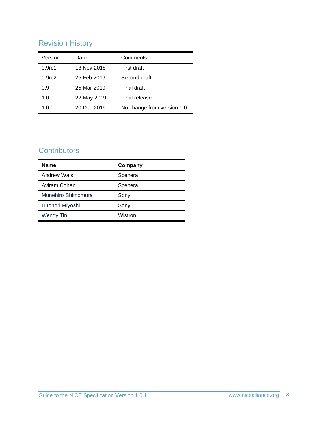# Revision History

| Version            | Date        | Comments                   |
|--------------------|-------------|----------------------------|
| 0.9 <sub>rc1</sub> | 13 Nov 2018 | First draft                |
| 0.9 <sub>rc2</sub> | 25 Feb 2019 | Second draft               |
| 0.9                | 25 Mar 2019 | Final draft                |
| 1.0                | 22 May 2019 | Final release              |
| 1.0.1              | 20 Dec 2019 | No change from version 1.0 |

## **Contributors**

| <b>Name</b>        | Company |
|--------------------|---------|
| Andrew Wajs        | Scenera |
| Aviram Cohen       | Scenera |
| Munehiro Shimomura | Sony    |
| Hironori Miyoshi   | Sony    |
| <b>Wendy Tin</b>   | Wistron |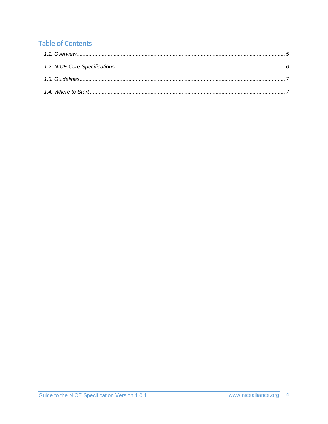# **Table of Contents**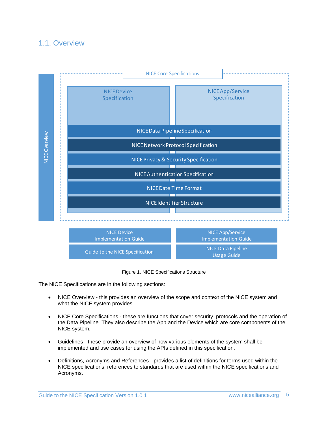#### <span id="page-4-0"></span>1.1. Overview





The NICE Specifications are in the following sections:

- NICE Overview this provides an overview of the scope and context of the NICE system and what the NICE system provides.
- NICE Core Specifications these are functions that cover security, protocols and the operation of the Data Pipeline. They also describe the App and the Device which are core components of the NICE system.
- Guidelines these provide an overview of how various elements of the system shall be implemented and use cases for using the APIs defined in this specification.
- Definitions, Acronyms and References provides a list of definitions for terms used within the NICE specifications, references to standards that are used within the NICE specifications and Acronyms.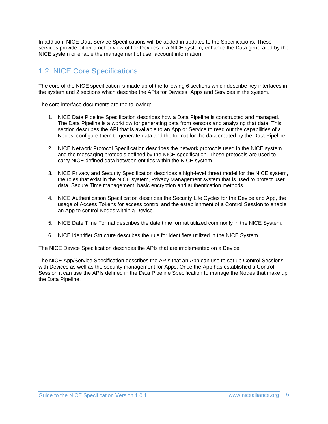In addition, NICE Data Service Specifications will be added in updates to the Specifications. These services provide either a richer view of the Devices in a NICE system, enhance the Data generated by the NICE system or enable the management of user account information.

## <span id="page-5-0"></span>1.2. NICE Core Specifications

The core of the NICE specification is made up of the following 6 sections which describe key interfaces in the system and 2 sections which describe the APIs for Devices, Apps and Services in the system.

The core interface documents are the following:

- 1. NICE Data Pipeline Specification describes how a Data Pipeline is constructed and managed. The Data Pipeline is a workflow for generating data from sensors and analyzing that data. This section describes the API that is available to an App or Service to read out the capabilities of a Nodes, configure them to generate data and the format for the data created by the Data Pipeline.
- 2. NICE Network Protocol Specification describes the network protocols used in the NICE system and the messaging protocols defined by the NICE specification. These protocols are used to carry NICE defined data between entities within the NICE system.
- 3. NICE Privacy and Security Specification describes a high-level threat model for the NICE system, the roles that exist in the NICE system, Privacy Management system that is used to protect user data, Secure Time management, basic encryption and authentication methods.
- 4. NICE Authentication Specification describes the Security Life Cycles for the Device and App, the usage of Access Tokens for access control and the establishment of a Control Session to enable an App to control Nodes within a Device.
- 5. NICE Date Time Format describes the date time format utilized commonly in the NICE System.
- 6. NICE Identifier Structure describes the rule for identifiers utilized in the NICE System.

The NICE Device Specification describes the APIs that are implemented on a Device.

The NICE App/Service Specification describes the APIs that an App can use to set up Control Sessions with Devices as well as the security management for Apps. Once the App has established a Control Session it can use the APIs defined in the Data Pipeline Specification to manage the Nodes that make up the Data Pipeline.